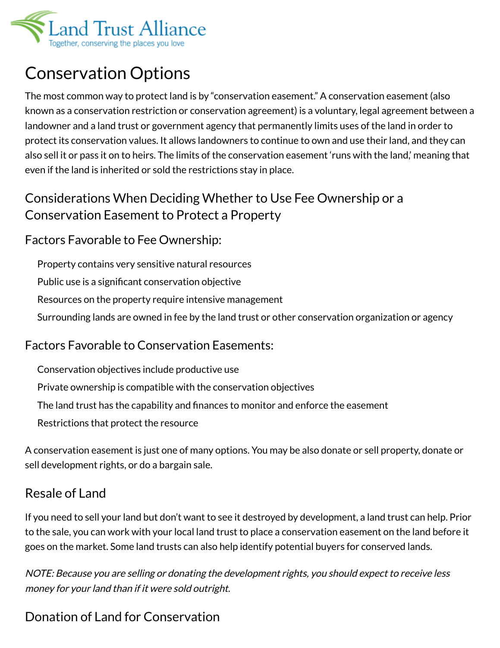

# Conservation Options

The most common way to protect land is by "conservation easement." A conservation easement (also known as a conservation restriction or conservation agreement) is a voluntary, legal agreement between a landowner and a land trust or government agency that permanently limits uses of the land in order to protect its conservation values. It allows landowners to continue to own and use their land, and they can also sell it or pass it on to heirs. The limits of the conservation easement 'runs with the land,' meaning that even if the land is inherited or sold the restrictions stay in place.

## Considerations When Deciding Whether to Use Fee Ownership or a Conservation Easement to Protect a Property

### Factors Favorable to Fee Ownership:

Property contains very sensitive natural resources

Public use is a significant conservation objective

Resources on the property require intensive management

Surrounding lands are owned in fee by the land trust or other conservation organization or agency

### Factors Favorable to Conservation Easements:

Conservation objectives include productive use

Private ownership is compatible with the conservation objectives

The land trust has the capability and finances to monitor and enforce the easement

Restrictions that protect the resource

A conservation easement is just one of many options. You may be also donate or sell property, donate or sell development rights, or do a bargain sale.

## Resale of Land

If you need to sell your land but don't want to see it destroyed by development, a land trust can help. Prior to the sale, you can work with your local land trust to place a conservation easement on the land before it goes on the market. Some land trusts can also help identify potential buyers for conserved lands.

NOTE: Because you are selling or donating the development rights, you should expect to receive less money for your land than if it were sold outright.

# Donation of Land for Conservation